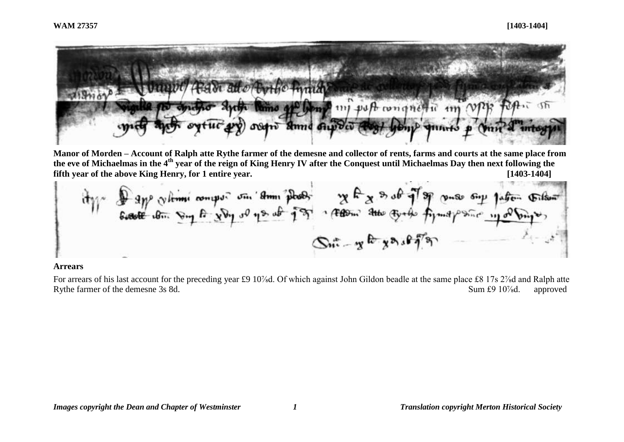

**Manor of Morden – Account of Ralph atte Rythe farmer of the demesne and collector of rents, farms and courts at the same place from the eve of Michaelmas in the 4th year of the reign of King Henry IV after the Conquest until Michaelmas Day then next following the fifth year of the above King Henry, for 1 entire year. [1403-1404]**

\n
$$
\frac{dy}{dx} = \frac{\partial^2 y}{\partial x \partial y} = \frac{\partial^2 y}{\partial y \partial y} = \frac{\partial^2 y}{\partial y} = \frac{\partial^2 y}{\partial y} = \frac{\partial^2 y}{\partial y} = \frac{\partial^2 y}{\partial y} = \frac{\partial^2 y}{\partial y} = \frac{\partial^2 y}{\partial y} = \frac{\partial^2 y}{\partial y} = \frac{\partial^2 y}{\partial y} = \frac{\partial^2 y}{\partial y} = \frac{\partial^2 y}{\partial y} = \frac{\partial^2 y}{\partial y} = \frac{\partial^2 y}{\partial y} = \frac{\partial^2 y}{\partial y} = \frac{\partial^2 y}{\partial y} = \frac{\partial^2 y}{\partial y} = \frac{\partial^2 y}{\partial y} = \frac{\partial^2 y}{\partial y} = \frac{\partial^2 y}{\partial y} = \frac{\partial^2 y}{\partial y} = \frac{\partial^2 y}{\partial y} = \frac{\partial^2 y}{\partial y} = \frac{\partial^2 y}{\partial y} = \frac{\partial^2 y}{\partial y} = \frac{\partial^2 y}{\partial y} = \frac{\partial^2 y}{\partial y} = \frac{\partial^2 y}{\partial y} = \frac{\partial^2 y}{\partial y} = \frac{\partial^2 y}{\partial y} = \frac{\partial^2 y}{\partial y} = \frac{\partial^2 y}{\partial y} = \frac{\partial^2 y}{\partial y} = \frac{\partial^2 y}{\partial y} = \frac{\partial^2 y}{\partial y} = \frac{\partial^2 y}{\partial y} = \frac{\partial^2 y}{\partial y} = \frac{\partial^2 y}{\partial y} = \frac{\partial^2 y}{\partial y} = \frac{\partial^2 y}{\partial y} = \frac{\partial^2 y}{\partial y} = \frac{\partial^2 y}{\partial y} = \frac{\partial^2 y}{\partial y} = \frac{\partial^2 y}{\partial y} = \frac{\partial^2 y}{\partial y} = \frac{\partial^2 y}{\partial y} = \frac{\partial^2 y}{\partial y} = \frac{\partial^2 y}{\partial y} = \frac{\partial^2 y}{\partial y} = \frac{\partial^2 y}{\partial y} = \frac{\partial^2 y}{\partial y} = \frac{\partial^2 y}{\partial y} = \frac{\partial^2 y}{\partial y} = \frac{\partial^2 y}{\partial y} = \frac{\partial^2 y}{\partial y} = \frac{\partial^2 y}{\partial y} = \frac{\partial^2 y}{\partial y} = \frac{\partial^
$$

#### **Arrears**

For arrears of his last account for the preceding year £9 10<sup>%</sup>d. Of which against John Gildon beadle at the same place £8 17s 2<sup>%</sup>d and Ralph atte Rythe farmer of the demesne 3s 8d. Sum £9 10<sup>%</sup>d. approved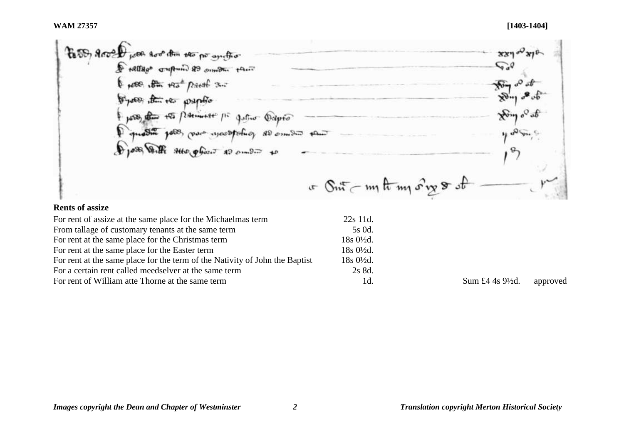| to the group poor too the the po another                   | $xy = \sqrt{x}e$                  |
|------------------------------------------------------------|-----------------------------------|
| Frallage cripture 88 compare there                         | $\sqrt{a^2}$                      |
| From the read paral 3.                                     |                                   |
| Depotes the two property                                   | $x_{\theta}$ of $\alpha_{\theta}$ |
| poss the to painter po<br>Jeffrer Dapto                    | Hong of at                        |
| question polo, pour exceptionies all empere there          | $\mathbf{u}$ $\mathbf{v}$         |
| Des Volte sur phone 20 cm Di to                            |                                   |
|                                                            |                                   |
| $x \in \mathbb{S}$ nt $\subset m$ th $m_1$ or $m_2$ or $s$ |                                   |

# **Rents of assize**

| For rent of assize at the same place for the Michaelmas term                | $22s$ 11d.           |
|-----------------------------------------------------------------------------|----------------------|
| From tallage of customary tenants at the same term                          | 5s 0d.               |
| For rent at the same place for the Christmas term                           | $18s0\frac{1}{2}d$ . |
| For rent at the same place for the Easter term                              | $18s0\frac{1}{2}d$ . |
| For rent at the same place for the term of the Nativity of John the Baptist | $18s0\frac{1}{2}d$ . |
| For a certain rent called meedselver at the same term                       | 2s 8d.               |
| For rent of William atte Thorne at the same term                            | 1d.                  |

 $Id.$  Sum £4 4s 9½d. approved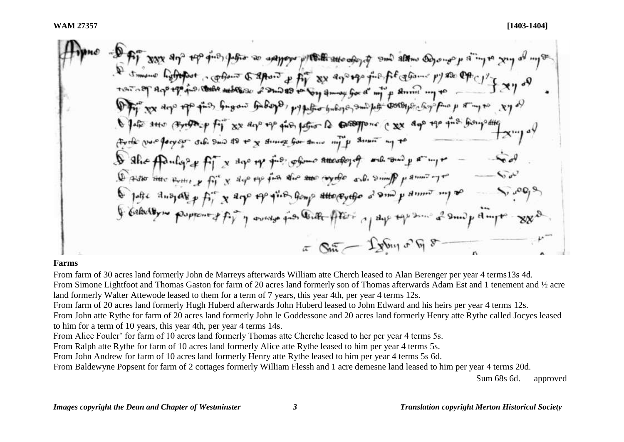But with the day of the dig for the and have higher high state of the state of the dig or the simple state Smore hyfrifart , phone & apoint p fight xx age of explains py as Office y find fugow fuboyo, pypetho buboyes and het corresponding pass of any to sy of (Friday fil xx days up fin father to compone cxx dos up find from other Firth via forger sel Sud 18 to y strong for some my p street my to  $f_1^T x$  days to  $f_1^{\text{L},p}$  of  $\phi$  and  $\phi$  of  $\phi$  and  $\phi$  and  $\phi$  and  $\phi$ & she fonly 2 Desse there were y fit x dap up fun the two eyele and simil parmity I fulle dusy alog fir x days of give forms atto cytho a sm p dinner my so I belocity me proposited for y words fit that fitters of dye top some a small dimpt  $\pi$  Sin - Lybin or by 8

#### **Farms**

From farm of 30 acres land formerly John de Marreys afterwards William atte Cherch leased to Alan Berenger per year 4 terms13s 4d. From Simone Lightfoot and Thomas Gaston for farm of 20 acres land formerly son of Thomas afterwards Adam Est and 1 tenement and ½ acre land formerly Walter Attewode leased to them for a term of 7 years, this year 4th, per year 4 terms 12s.

From farm of 20 acres land formerly Hugh Huberd afterwards John Huberd leased to John Edward and his heirs per year 4 terms 12s.

From John atte Rythe for farm of 20 acres land formerly John le Goddessone and 20 acres land formerly Henry atte Rythe called Jocyes leased to him for a term of 10 years, this year 4th, per year 4 terms 14s.

From Alice Fouler' for farm of 10 acres land formerly Thomas atte Cherche leased to her per year 4 terms 5s.

From Ralph atte Rythe for farm of 10 acres land formerly Alice atte Rythe leased to him per year 4 terms 5s.

From John Andrew for farm of 10 acres land formerly Henry atte Rythe leased to him per year 4 terms 5s 6d.

From Baldewyne Popsent for farm of 2 cottages formerly William Flessh and 1 acre demesne land leased to him per year 4 terms 20d.

Sum 68s 6d. approved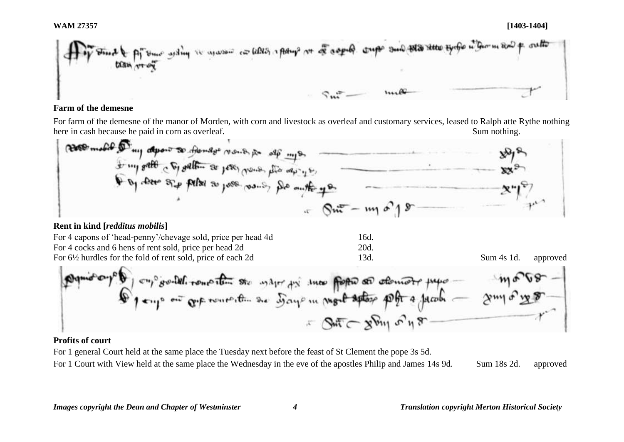**WAM 27357 [1403-1404]**

### **Farm of the demesne**

For farm of the demesne of the manor of Morden, with corn and livestock as overleaf and customary services, leased to Ralph atte Rythe nothing<br>here in cash because he paid in corn as overleaf.<br>Sum nothing. here in cash because he paid in corn as overleaf.

\n\n The number 
$$
\frac{1}{2}
$$
 is the number of points  $\frac{1}{2}$  and  $\frac{1}{2}$  is the number of points  $\frac{1}{2}$  and  $\frac{1}{2}$ .\n

\n\n\n The number  $\frac{1}{2}$  is the number of points  $\frac{1}{2}$  and  $\frac{1}{2}$ .\n

\n\n\n The number  $\frac{1}{2}$  is the number of points  $\frac{1}{2}$  and  $\frac{1}{2}$ .\n

\n\n\n The number  $\frac{1}{2}$  is the number of points  $\frac{1}{2}$ .\n

\n\n\n The number  $\frac{1}{2}$  is the number of points  $\frac{1}{2}$ .\n

\n\n\n The number  $\frac{1}{2}$  is the number of points  $\frac{1}{2}$ .\n

\n\n\n The number  $\frac{1}{2}$  is the number of points  $\frac{1}{2}$ .\n

\n\n\n The number  $\frac{1}{2}$  is the number of points  $\frac{1}{2}$ .\n

\n\n\n The number  $\frac{1}{2}$  is the number of points  $\frac{1}{2}$ .\n

\n\n\n The number  $\frac{1}{2}$  is the number of points  $\frac{1}{2}$ .\n

\n\n\n The number  $\frac{1}{2}$  is the number of points  $\frac{1}{2}$ .\n

\n\n\n The number  $\frac{1}{2}$  is the number of points  $\frac{1}{2}$ .\n

\n\n\n The number  $\frac{1}{2}$  is the number of points  $\frac{1}{2}$ .\n

\n\n\n The number  $\frac{1}{2}$  is the number of points  $\frac{1}{2}$ .\n

\n\n\n The number  $\frac{1}{2}$  is the number of points  $\frac{1}{2}$ .\n

\n\n\n The number  $\frac{1}{2}$  is the number of points  $\frac{1}{2}$ .\n

\n\n\n The number  $\frac{1}{2}$  is the number of points  $\frac{1}{2}$ .\n

\n\n\n The number  $\frac{1}{2}$  is the number

# **Rent in kind [***redditus mobilis***]**

| For 4 capons of 'head-penny'/chevage sold, price per head 4d           | 16d. |            |          |
|------------------------------------------------------------------------|------|------------|----------|
| For 4 cocks and 6 hens of rent sold, price per head 2d                 | 20d. |            |          |
| For $6\frac{1}{2}$ hurdles for the fold of rent sold, price of each 2d | 13d. | Sum 4s 1d. | approved |

By the graph of a graph of a graph of a graph of a graph.

\nBy any 
$$
0
$$
 or  $0$  is an integer, and the graph of a graph of a graph.

\nBy the graph of a graph of a graph of a graph.

\n

## **Profits of court**

For 1 general Court held at the same place the Tuesday next before the feast of St Clement the pope 3s 5d.

For 1 Court with View held at the same place the Wednesday in the eve of the apostles Philip and James 14s 9d. Sum 18s 2d. approved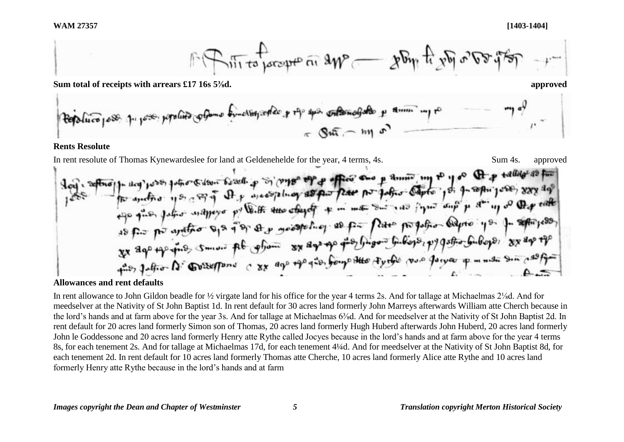

as fit po antipo up it of a superior of the form of the first poster in particularly system of the

## **Allowances and rent defaults**

In rent allowance to John Gildon beadle for ½ virgate land for his office for the year 4 terms 2s. And for tallage at Michaelmas 2⅛d. And for meedselver at the Nativity of St John Baptist 1d. In rent default for 30 acres land formerly John Marreys afterwards William atte Cherch because in the lord's hands and at farm above for the year 3s. And for tallage at Michaelmas 6<sup>3</sup>/sd. And for meedselver at the Nativity of St John Baptist 2d. In rent default for 20 acres land formerly Simon son of Thomas, 20 acres land formerly Hugh Huberd afterwards John Huberd, 20 acres land formerly John le Goddessone and 20 acres land formerly Henry atte Rythe called Jocyes because in the lord's hands and at farm above for the year 4 terms 8s, for each tenement 2s. And for tallage at Michaelmas 17d, for each tenement 4¼d. And for meedselver at the Nativity of St John Baptist 8d, for each tenement 2d. In rent default for 10 acres land formerly Thomas atte Cherche, 10 acres land formerly Alice atte Rythe and 10 acres land formerly Henry atte Rythe because in the lord's hands and at farm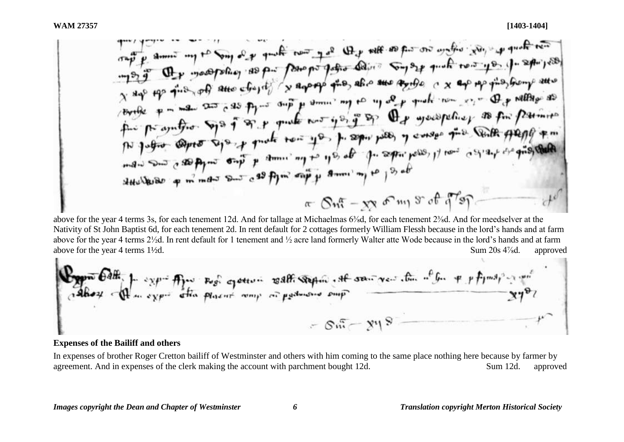×.

above for the year 4 terms 3s, for each tenement 12d. And for tallage at Michaelmas 6⅜d, for each tenement 2⅜d. And for meedselver at the Nativity of St John Baptist 6d, for each tenement 2d. In rent default for 2 cottages formerly William Flessh because in the lord's hands and at farm above for the year 4 terms 2½d. In rent default for 1 tenement and ½ acre land formerly Walter atte Wode because in the lord's hands and at farm above for the year 4 terms 1<sup>1/2</sup>d. approved Sum 20s 4<sup>7</sup>/<sub>8</sub>d. approved

| Byper $6dH$ | 2x $p-4$ | Fig. 2x $p-4$ | Fig. 2x $p-4$ | Fig. 2x $p-4$ | Fig. 2x $p-4$ | Fig. 2x $p-4$ | Fig. 2x $p-4$ | Fig. 2x $p-4$ | Fig. 2x $p-4$ | Fig. 2x $p-4$ | 2x $p-4$ |
|-------------|----------|---------------|---------------|---------------|---------------|---------------|---------------|---------------|---------------|---------------|----------|
| 2x $p-4$    | 2x $p-4$ | 2x $p-4$      | 2x $p-4$      | 2x $p-4$      | 2x $p-4$      |               |               |               |               |               |          |

### **Expenses of the Bailiff and others**

In expenses of brother Roger Cretton bailiff of Westminster and others with him coming to the same place nothing here because by farmer by agreement. And in expenses of the clerk making the account with parchment bought 12d. Sum 12d. Sum 12d. approved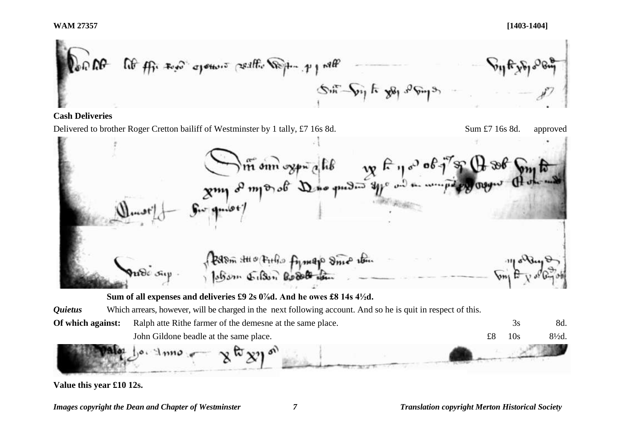**WAM 27357 [1403-1404]**

$$
\left[\begin{array}{ccc}\n\sqrt{2} \cos \theta & \cos \theta & \cos \theta \\
\sqrt{2} \cos \theta & \cos \theta\n\end{array}\right]\n\left[\begin{array}{ccc}\n\cos \theta & \cos \theta \\
\cos \theta & \cos \theta\n\end{array}\right]\n\left[\begin{array}{ccc}\n\cos \theta & \cos \theta \\
\cos \theta & \cos \theta\n\end{array}\right]\n\left[\begin{array}{ccc}\n\cos \theta & \cos \theta \\
\cos \theta & \cos \theta\n\end{array}\right]\n\left[\begin{array}{ccc}\n\cos \theta & \cos \theta \\
\cos \theta & \cos \theta\n\end{array}\right]
$$

### **Cash Deliveries**

Delivered to brother Roger Cretton bailiff of Westminster by 1 tally, £7 16s 8d. Sum £7 16s 8d. approved<br>
The sum of my strategy of the sum of my strategy of the sum of the sum of my strategy of the sum of the sum of the s Portom stato princip pymano smo itan

**Sum of all expenses and deliveries £9 2s 0⅞d. And he owes £8 14s 4½d.** 

*Quietus* Which arrears, however, will be charged in the next following account. And so he is quit in respect of this.

**Of which against:** Ralph atte Rithe farmer of the demesne at the same place. 3s 8d. John Gildone beadle at the same place.  $\text{£8}$  10s 8<sup>1</sup>/<sub>2</sub>d.

**Value this year £10 12s.**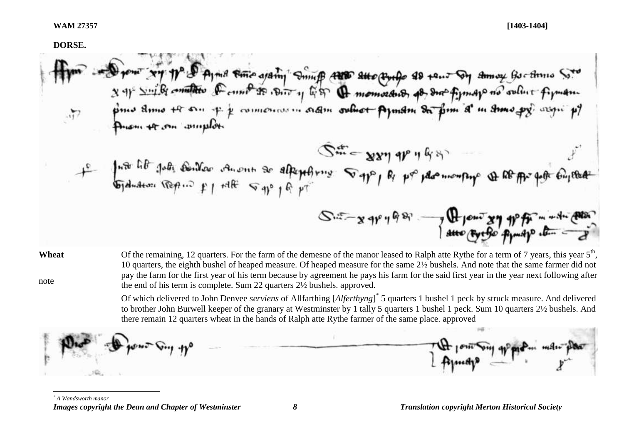#### **DORSE.**

New Xy pp & Ayna the againg Smuff aus aux quide as tout of amoy but the St  $S_{m}^{*}$  = 827 98 98 1º fute lit poly contact anont as alternatives of the population of the for the children  $S = x + y + 98$   $-7$  Henry  $x + y + 4$ 

**Wheat** note Of the remaining, 12 quarters. For the farm of the demesne of the manor leased to Ralph atte Rythe for a term of 7 years, this year  $5<sup>th</sup>$ , 10 quarters, the eighth bushel of heaped measure. Of heaped measure for the same 2½ bushels. And note that the same farmer did not pay the farm for the first year of his term because by agreement he pays his farm for the said first year in the year next following after the end of his term is complete. Sum 22 quarters 2½ bushels. approved.

> Of which delivered to John Denvee *serviens* of Allfarthing [*Alferthyng*] \* 5 quarters 1 bushel 1 peck by struck measure. And delivered to brother John Burwell keeper of the granary at Westminster by 1 tally 5 quarters 1 bushel 1 peck. Sum 10 quarters 2½ bushels. And there remain 12 quarters wheat in the hands of Ralph atte Rythe farmer of the same place. approved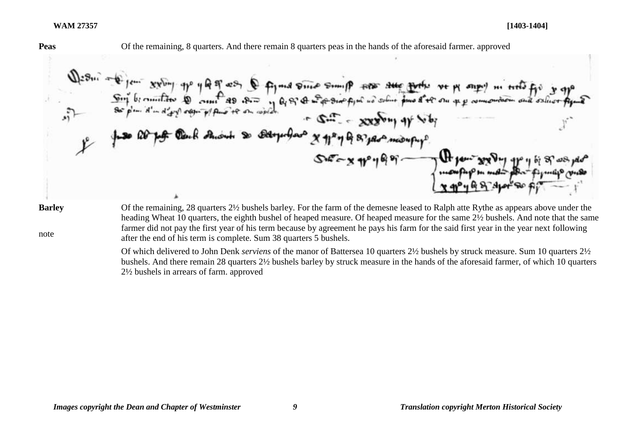**Peas** Of the remaining, 8 quarters. And there remain 8 quarters peas in the hands of the aforesaid farmer. approved

 $xy^{b}$  the 40 ft of figural Divide Somiff for the future Q of A wife sing figure no soline four

**Barley**

note

Of the remaining, 28 quarters 2½ bushels barley. For the farm of the demesne leased to Ralph atte Rythe as appears above under the heading Wheat 10 quarters, the eighth bushel of heaped measure. Of heaped measure for the same 2½ bushels. And note that the same farmer did not pay the first year of his term because by agreement he pays his farm for the said first year in the year next following after the end of his term is complete. Sum 38 quarters 5 bushels.

Of which delivered to John Denk *serviens* of the manor of Battersea 10 quarters 2½ bushels by struck measure. Sum 10 quarters 2½ bushels. And there remain 28 quarters 2½ bushels barley by struck measure in the hands of the aforesaid farmer, of which 10 quarters 2½ bushels in arrears of farm. approved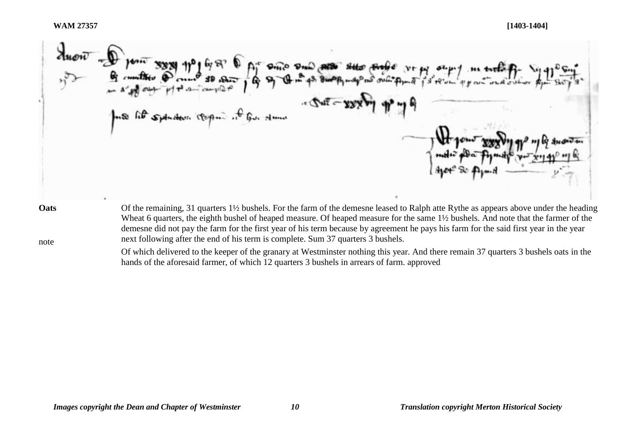$\sigma_{\rm{eff}}$ Of the remaining, 31 quarters 1½ bushels. For the farm of the demesne leased to Ralph atte Rythe as appears above under the heading **Oats**

note

Wheat 6 quarters, the eighth bushel of heaped measure. Of heaped measure for the same  $1\frac{1}{2}$  bushels. And note that the farmer of the demesne did not pay the farm for the first year of his term because by agreement he pays his farm for the said first year in the year next following after the end of his term is complete. Sum 37 quarters 3 bushels.

Of which delivered to the keeper of the granary at Westminster nothing this year. And there remain 37 quarters 3 bushels oats in the hands of the aforesaid farmer, of which 12 quarters 3 bushels in arrears of farm. approved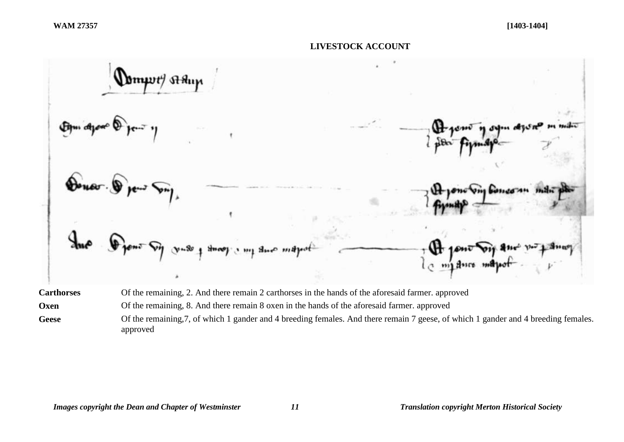#### **LIVESTOCK ACCOUNT**



approved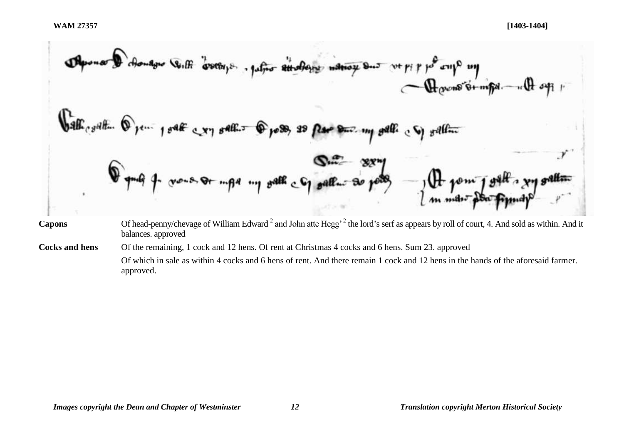**Capons** Of head-penny/chevage of William Edward <sup>2</sup> and John atte Hegg' <sup>2</sup> the lord's serf as appears by roll of court, 4. And sold as within. And it balances. approved

**Cocks and hens** Of the remaining, 1 cock and 12 hens. Of rent at Christmas 4 cocks and 6 hens. Sum 23. approved Of which in sale as within 4 cocks and 6 hens of rent. And there remain 1 cock and 12 hens in the hands of the aforesaid farmer. approved.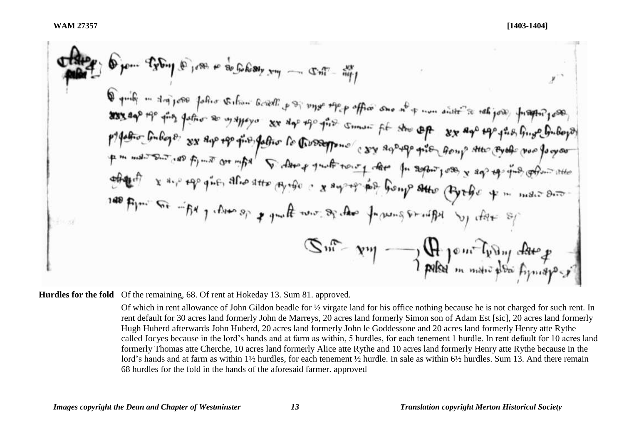**Hurdles for the fold** Of the remaining, 68. Of rent at Hokeday 13. Sum 81. approved.

Of which in rent allowance of John Gildon beadle for ½ virgate land for his office nothing because he is not charged for such rent. In rent default for 30 acres land formerly John de Marreys, 20 acres land formerly Simon son of Adam Est [sic], 20 acres land formerly Hugh Huberd afterwards John Huberd, 20 acres land formerly John le Goddessone and 20 acres land formerly Henry atte Rythe called Jocyes because in the lord's hands and at farm as within, 5 hurdles, for each tenement 1 hurdle. In rent default for 10 acres land formerly Thomas atte Cherche, 10 acres land formerly Alice atte Rythe and 10 acres land formerly Henry atte Rythe because in the lord's hands and at farm as within 1½ hurdles, for each tenement ½ hurdle. In sale as within 6½ hurdles. Sum 13. And there remain 68 hurdles for the fold in the hands of the aforesaid farmer. approved